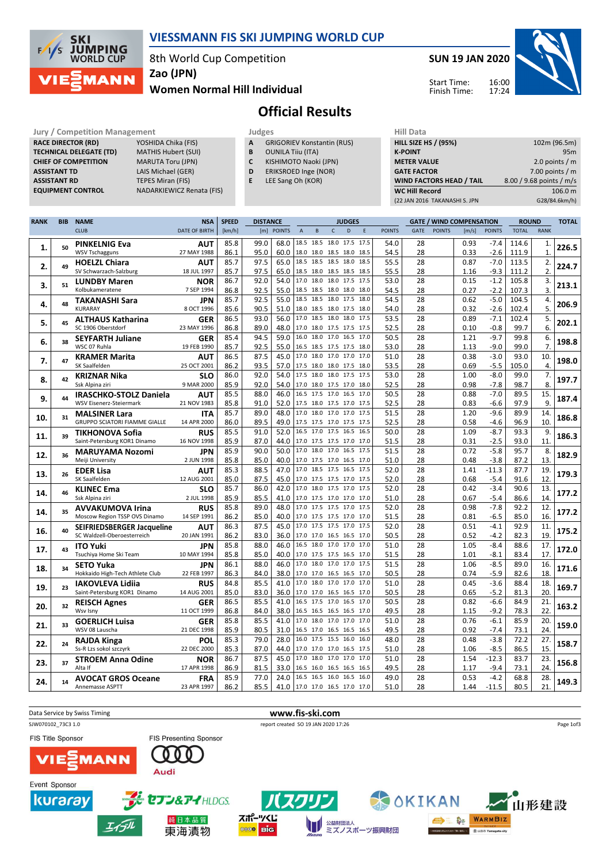

## VIESSMANN FIS SKI JUMPING WORLD CUP

8th World Cup Competition

Zao (JPN)

### Women Normal Hill Individual

SUN 19 JAN 2020





# Official Results

#### Jury / Competition Management<br> **RACE DIRECTOR (RD)** YOSHIDA Chika (FIS) **A GRIGORIEV Konstantin (RUS)** HILL SIZE HILL SIZE RACE DIRECTOR (RD) **TECHNICAL DELEGATE (TD)** MATHIS Hubert (SUI)<br> **CHIEF OF COMPETITION** MARUTA Toru (JPN) CHIEF OF COMPETITION ASSISTANT TD LAIS Michael (GER) **ASSISTANT RD** TEPES Miran (FIS)<br> **EQUIPMENT CONTROL** NADARKIEWICZ Re

NADARKIEWICZ Renata (FIS)

| Juuges |                                   |  |
|--------|-----------------------------------|--|
| A      | <b>GRIGORIEV Konstantin (RUS)</b> |  |

- **B** OUNILA Tiiu (ITA)<br>**C** KISHIMOTO Naok
- **C** KISHIMOTO Naoki (JPN)<br>**D** ERIKSROED Inge (NOR)
- ERIKSROED Inge (NOR) E LEE Sang Oh (KOR)
	-

| (22 JAN 2016 TAKANASHI S. JPN   | G28/84.6km/h)            |
|---------------------------------|--------------------------|
| <b>WC Hill Record</b>           | 106.0 m                  |
| <b>WIND FACTORS HEAD / TAIL</b> | 8.00 / 9.68 points / m/s |
| <b>GATE FACTOR</b>              | 7.00 points $/m$         |
| <b>METER VALUE</b>              | 2.0 points $/m$          |
| <b>K-POINT</b>                  | 95m                      |
| <b>HILL SIZE HS / (95%)</b>     | 102m (96.5m)             |
| нш рата                         |                          |

| <b>CLUB</b><br><b>DATE OF BIRTH</b><br>[km/h]<br>[m] POINTS<br>D<br><b>GATE</b><br><b>POINTS</b><br><b>POINTS</b><br><b>TOTAL</b><br>$\overline{A}$<br>$\sf{B}$<br>$\mathsf{C}$<br>E<br><b>POINTS</b><br>[m/s]<br>18.5 18.5 18.0 17.5<br>85.8<br>99.0<br>68.0<br>17.5<br>54.0<br>0.93<br>114.6<br><b>PINKELNIG Eva</b><br><b>AUT</b><br>28<br>$-7.4$<br>1.<br>50<br>95.0<br><b>WSV Tschagguns</b><br>27 MAY 1988<br>86.1<br>18.0 18.0 18.5 18.0 18.5<br>54.5<br>28<br>0.33<br>$-2.6$<br>111.9<br>60.0<br>85.7<br>97.5<br>65.0<br>18.5 18.5 18.5 18.0<br>55.5<br>28<br>$-7.0$<br>113.5<br>18.5<br>0.87<br><b>HOELZL Chiara</b><br><b>AUT</b><br>2.<br>49<br>SV Schwarzach-Salzburg<br>85.7<br>97.5<br>65.0<br>28<br>18 JUL 1997<br>18.5 18.0 18.5 18.5 18.5<br>55.5<br>1.16<br>$-9.3$<br>111.2<br>53.0<br>28<br>$-1.2$<br>105.8<br>86.7<br>92.0<br>54.0<br>17.0 18.0 18.0 17.5<br>17.5<br>0.15<br><b>LUNDBY Maren</b><br><b>NOR</b><br>51<br>3.<br>28<br>86.8<br>92.5<br>55.0<br>54.5<br>0.27<br>$-2.2$<br>107.3<br>Kolbukameratene<br>7 SEP 1994<br>18.5 18.5 18.0 18.0 18.0<br>85.7<br>55.0<br>18.5 18.5 18.0 17.5<br>54.5<br>28<br>$-5.0$<br>104.5<br>92.5<br>18.0<br>0.62<br><b>TAKANASHI Sara</b><br><b>JPN</b><br>48<br>4.<br>KURARAY<br>85.6<br>90.5<br>51.0<br>54.0<br>28<br>0.32<br>$-2.6$<br>102.4<br>8 OCT 1996<br>18.0 18.5 18.0 17.5 18.0<br>18.5 18.0 18.0<br>53.5<br>28<br>$-7.1$<br>86.5<br>93.0<br>56.0<br>17.0<br>17.5<br>0.89<br>102.4<br><b>ALTHAUS Katharina</b><br><b>GER</b><br>5.<br>45<br>86.8<br>89.0<br>48.0<br>52.5<br>28<br>99.7<br>SC 1906 Oberstdorf<br>23 MAY 1996<br>17.0 18.0 17.5 17.5 17.5<br>0.10<br>$-0.8$ | <b>RANK</b><br>1.<br>226.5<br>$\mathbf{1}$<br>2.<br>224.7<br>2.<br>3.<br>213.1<br>3.<br>4.<br>206.9<br>5.<br>5.<br>202.1<br>6.<br>6.<br>198.8<br>7.<br>10.<br>198.0 |
|-------------------------------------------------------------------------------------------------------------------------------------------------------------------------------------------------------------------------------------------------------------------------------------------------------------------------------------------------------------------------------------------------------------------------------------------------------------------------------------------------------------------------------------------------------------------------------------------------------------------------------------------------------------------------------------------------------------------------------------------------------------------------------------------------------------------------------------------------------------------------------------------------------------------------------------------------------------------------------------------------------------------------------------------------------------------------------------------------------------------------------------------------------------------------------------------------------------------------------------------------------------------------------------------------------------------------------------------------------------------------------------------------------------------------------------------------------------------------------------------------------------------------------------------------------------------------------------------------------------------------------------------------|---------------------------------------------------------------------------------------------------------------------------------------------------------------------|
|                                                                                                                                                                                                                                                                                                                                                                                                                                                                                                                                                                                                                                                                                                                                                                                                                                                                                                                                                                                                                                                                                                                                                                                                                                                                                                                                                                                                                                                                                                                                                                                                                                                 |                                                                                                                                                                     |
|                                                                                                                                                                                                                                                                                                                                                                                                                                                                                                                                                                                                                                                                                                                                                                                                                                                                                                                                                                                                                                                                                                                                                                                                                                                                                                                                                                                                                                                                                                                                                                                                                                                 |                                                                                                                                                                     |
|                                                                                                                                                                                                                                                                                                                                                                                                                                                                                                                                                                                                                                                                                                                                                                                                                                                                                                                                                                                                                                                                                                                                                                                                                                                                                                                                                                                                                                                                                                                                                                                                                                                 |                                                                                                                                                                     |
|                                                                                                                                                                                                                                                                                                                                                                                                                                                                                                                                                                                                                                                                                                                                                                                                                                                                                                                                                                                                                                                                                                                                                                                                                                                                                                                                                                                                                                                                                                                                                                                                                                                 |                                                                                                                                                                     |
|                                                                                                                                                                                                                                                                                                                                                                                                                                                                                                                                                                                                                                                                                                                                                                                                                                                                                                                                                                                                                                                                                                                                                                                                                                                                                                                                                                                                                                                                                                                                                                                                                                                 |                                                                                                                                                                     |
|                                                                                                                                                                                                                                                                                                                                                                                                                                                                                                                                                                                                                                                                                                                                                                                                                                                                                                                                                                                                                                                                                                                                                                                                                                                                                                                                                                                                                                                                                                                                                                                                                                                 |                                                                                                                                                                     |
|                                                                                                                                                                                                                                                                                                                                                                                                                                                                                                                                                                                                                                                                                                                                                                                                                                                                                                                                                                                                                                                                                                                                                                                                                                                                                                                                                                                                                                                                                                                                                                                                                                                 |                                                                                                                                                                     |
|                                                                                                                                                                                                                                                                                                                                                                                                                                                                                                                                                                                                                                                                                                                                                                                                                                                                                                                                                                                                                                                                                                                                                                                                                                                                                                                                                                                                                                                                                                                                                                                                                                                 |                                                                                                                                                                     |
|                                                                                                                                                                                                                                                                                                                                                                                                                                                                                                                                                                                                                                                                                                                                                                                                                                                                                                                                                                                                                                                                                                                                                                                                                                                                                                                                                                                                                                                                                                                                                                                                                                                 |                                                                                                                                                                     |
|                                                                                                                                                                                                                                                                                                                                                                                                                                                                                                                                                                                                                                                                                                                                                                                                                                                                                                                                                                                                                                                                                                                                                                                                                                                                                                                                                                                                                                                                                                                                                                                                                                                 |                                                                                                                                                                     |
|                                                                                                                                                                                                                                                                                                                                                                                                                                                                                                                                                                                                                                                                                                                                                                                                                                                                                                                                                                                                                                                                                                                                                                                                                                                                                                                                                                                                                                                                                                                                                                                                                                                 |                                                                                                                                                                     |
|                                                                                                                                                                                                                                                                                                                                                                                                                                                                                                                                                                                                                                                                                                                                                                                                                                                                                                                                                                                                                                                                                                                                                                                                                                                                                                                                                                                                                                                                                                                                                                                                                                                 |                                                                                                                                                                     |
| 28<br>$-9.7$<br>85.4<br>94.5<br>59.0<br>16.0<br>18.0 17.0 16.5<br>50.5<br>1.21<br>99.8<br>17.0<br><b>SEYFARTH Juliane</b><br>GER<br>6.<br>38                                                                                                                                                                                                                                                                                                                                                                                                                                                                                                                                                                                                                                                                                                                                                                                                                                                                                                                                                                                                                                                                                                                                                                                                                                                                                                                                                                                                                                                                                                    |                                                                                                                                                                     |
| WSC 07 Ruhla<br>85.7<br>92.5<br>55.0<br>16.5 18.5 17.5 17.5 18.0<br>53.0<br>28<br>1.13<br>$-9.0$<br>99.0<br>19 FEB 1990                                                                                                                                                                                                                                                                                                                                                                                                                                                                                                                                                                                                                                                                                                                                                                                                                                                                                                                                                                                                                                                                                                                                                                                                                                                                                                                                                                                                                                                                                                                         |                                                                                                                                                                     |
| 51.0<br>$-3.0$<br>87.5<br>45.0<br>17.0<br>18.0 17.0 17.0<br>17.0<br>28<br>0.38<br>93.0<br>86.5<br><b>KRAMER Marita</b><br>AUT<br>7.<br>47                                                                                                                                                                                                                                                                                                                                                                                                                                                                                                                                                                                                                                                                                                                                                                                                                                                                                                                                                                                                                                                                                                                                                                                                                                                                                                                                                                                                                                                                                                       |                                                                                                                                                                     |
| SK Saalfelden<br>25 OCT 2001<br>86.2<br>93.5<br>57.0<br>17.5 18.0 18.0 17.5 18.0<br>53.5<br>28<br>$-5.5$<br>105.0<br>0.69                                                                                                                                                                                                                                                                                                                                                                                                                                                                                                                                                                                                                                                                                                                                                                                                                                                                                                                                                                                                                                                                                                                                                                                                                                                                                                                                                                                                                                                                                                                       | $\overline{4}$                                                                                                                                                      |
| 17.5 18.0 18.0 17.5<br>28<br>86.0<br>92.0<br>54.0<br>17.5<br>53.0<br>1.00<br>$-8.0$<br>99.0<br><b>KRIZNAR Nika</b><br><b>SLO</b><br>8.<br>42                                                                                                                                                                                                                                                                                                                                                                                                                                                                                                                                                                                                                                                                                                                                                                                                                                                                                                                                                                                                                                                                                                                                                                                                                                                                                                                                                                                                                                                                                                    | 7.<br>197.7                                                                                                                                                         |
| 85.9<br>54.0<br>17.0 18.0 17.5 17.0 18.0<br>52.5<br>28<br>$-7.8$<br>Ssk Alpina ziri<br>9 MAR 2000<br>92.0<br>0.98<br>98.7                                                                                                                                                                                                                                                                                                                                                                                                                                                                                                                                                                                                                                                                                                                                                                                                                                                                                                                                                                                                                                                                                                                                                                                                                                                                                                                                                                                                                                                                                                                       | 8.                                                                                                                                                                  |
| 16.5 17.5 17.0 16.5<br>17.0<br>$-7.0$<br>85.5<br>46.0<br>50.5<br>28<br>89.5<br>88.0<br>0.88<br><b>IRASCHKO-STOLZ Daniela</b><br><b>AUT</b><br>9.<br>44                                                                                                                                                                                                                                                                                                                                                                                                                                                                                                                                                                                                                                                                                                                                                                                                                                                                                                                                                                                                                                                                                                                                                                                                                                                                                                                                                                                                                                                                                          | 15.<br>187.4                                                                                                                                                        |
| 52.5<br>WSV Eisenerz-Steiermark<br>21 NOV 1983<br>85.8<br>91.0<br>52.0<br>17.5 18.0 17.5 17.0 17.5<br>28<br>$-6.6$<br>97.9<br>0.83                                                                                                                                                                                                                                                                                                                                                                                                                                                                                                                                                                                                                                                                                                                                                                                                                                                                                                                                                                                                                                                                                                                                                                                                                                                                                                                                                                                                                                                                                                              | 9.                                                                                                                                                                  |
| 17.0 18.0 17.0 17.0<br>51.5<br>28<br>85.7<br>89.0<br>48.0<br>17.5<br>1.20<br>$-9.6$<br>89.9<br><b>MALSINER Lara</b><br><b>ITA</b>                                                                                                                                                                                                                                                                                                                                                                                                                                                                                                                                                                                                                                                                                                                                                                                                                                                                                                                                                                                                                                                                                                                                                                                                                                                                                                                                                                                                                                                                                                               | 14.                                                                                                                                                                 |
| 31<br>10.<br>89.5<br>49.0<br>52.5<br>28<br>0.58<br>96.9<br><b>GRUPPO SCIATORI FIAMME GIALLE</b><br>14 APR 2000<br>86.0<br>17.5 17.5 17.0 17.5 17.5<br>$-4.6$                                                                                                                                                                                                                                                                                                                                                                                                                                                                                                                                                                                                                                                                                                                                                                                                                                                                                                                                                                                                                                                                                                                                                                                                                                                                                                                                                                                                                                                                                    | 186.8<br>10.                                                                                                                                                        |
| 16.5 17.0 17.5 16.5 16.5<br>28<br>$-8.7$<br>85.5<br>91.0<br>52.0<br>50.0<br>1.09<br>93.3<br><b>RUS</b><br><b>TIKHONOVA Sofia</b>                                                                                                                                                                                                                                                                                                                                                                                                                                                                                                                                                                                                                                                                                                                                                                                                                                                                                                                                                                                                                                                                                                                                                                                                                                                                                                                                                                                                                                                                                                                | 9.                                                                                                                                                                  |
| 39<br>11.<br>85.9<br>87.0<br>51.5<br>28<br>93.0<br>44.0<br>0.31<br>$-2.5$<br>Saint-Petersburg KOR1 Dinamo<br>16 NOV 1998<br>17.0 17.5 17.5 17.0 17.0                                                                                                                                                                                                                                                                                                                                                                                                                                                                                                                                                                                                                                                                                                                                                                                                                                                                                                                                                                                                                                                                                                                                                                                                                                                                                                                                                                                                                                                                                            | 186.3<br>11                                                                                                                                                         |
| 17.0 18.0 17.0 16.5<br>28<br>85.9<br>90.0<br>50.0<br>17.5<br>51.5<br>0.72<br>$-5.8$<br>95.7<br><b>MARUYAMA Nozomi</b><br><b>JPN</b>                                                                                                                                                                                                                                                                                                                                                                                                                                                                                                                                                                                                                                                                                                                                                                                                                                                                                                                                                                                                                                                                                                                                                                                                                                                                                                                                                                                                                                                                                                             | 8.                                                                                                                                                                  |
| 12.<br>36<br>Meiji University<br>2 JUN 1998<br>85.8<br>85.0<br>40.0<br>17.0 17.5 17.0 16.5<br>51.0<br>28<br>$-3.8$<br>87.2<br>0.48<br>17.0                                                                                                                                                                                                                                                                                                                                                                                                                                                                                                                                                                                                                                                                                                                                                                                                                                                                                                                                                                                                                                                                                                                                                                                                                                                                                                                                                                                                                                                                                                      | 182.9<br>13.                                                                                                                                                        |
| 17.0 18.5 17.5 16.5 17.5<br>28<br>$-11.3$<br>85.3<br>88.5<br>47.0<br>52.0<br>1.41<br>87.7<br>AUT<br><b>EDER Lisa</b>                                                                                                                                                                                                                                                                                                                                                                                                                                                                                                                                                                                                                                                                                                                                                                                                                                                                                                                                                                                                                                                                                                                                                                                                                                                                                                                                                                                                                                                                                                                            | 19.                                                                                                                                                                 |
| 13.<br>26<br>87.5<br>28<br>SK Saalfelden<br>12 AUG 2001<br>85.0<br>45.0<br>17.0 17.5 17.5 17.0 17.5<br>52.0<br>0.68<br>$-5.4$<br>91.6                                                                                                                                                                                                                                                                                                                                                                                                                                                                                                                                                                                                                                                                                                                                                                                                                                                                                                                                                                                                                                                                                                                                                                                                                                                                                                                                                                                                                                                                                                           | 179.3<br>12.                                                                                                                                                        |
| 28<br>85.7<br>86.0<br>42.0<br>17.0 18.0 17.5 17.0 17.5<br>52.0<br>0.42<br>$-3.4$<br>90.6<br><b>KLINEC Ema</b><br><b>SLO</b>                                                                                                                                                                                                                                                                                                                                                                                                                                                                                                                                                                                                                                                                                                                                                                                                                                                                                                                                                                                                                                                                                                                                                                                                                                                                                                                                                                                                                                                                                                                     | 13.                                                                                                                                                                 |
| 14.<br>46<br>85.5<br>28<br>Ssk Alpina ziri<br>2 JUL 1998<br>85.9<br>41.0<br>17.0 17.5 17.0 17.0<br>51.0<br>0.67<br>$-5.4$<br>86.6<br>17.0                                                                                                                                                                                                                                                                                                                                                                                                                                                                                                                                                                                                                                                                                                                                                                                                                                                                                                                                                                                                                                                                                                                                                                                                                                                                                                                                                                                                                                                                                                       | 177.2<br>14.                                                                                                                                                        |
| 17.0 17.5 17.5 17.0 17.5<br>85.8<br>89.0<br>48.0<br>52.0<br>28<br>0.98<br>$-7.8$<br>92.2                                                                                                                                                                                                                                                                                                                                                                                                                                                                                                                                                                                                                                                                                                                                                                                                                                                                                                                                                                                                                                                                                                                                                                                                                                                                                                                                                                                                                                                                                                                                                        | 12.                                                                                                                                                                 |
| <b>AVVAKUMOVA Irina</b><br><b>RUS</b><br>35<br>14.<br>Moscow Region TSSP OVS Dinamo<br>14 SEP 1991<br>85.0<br>40.0<br>17.0 17.5 17.5 17.0<br>51.5<br>28<br>0.81<br>$-6.5$<br>85.0<br>86.2<br>17.0                                                                                                                                                                                                                                                                                                                                                                                                                                                                                                                                                                                                                                                                                                                                                                                                                                                                                                                                                                                                                                                                                                                                                                                                                                                                                                                                                                                                                                               | 177.2<br>16.                                                                                                                                                        |
| 17.0 17.5 17.5 17.0<br>87.5<br>52.0<br>28<br>0.51<br>$-4.1$<br>92.9<br>86.3<br>45.0<br>17.5                                                                                                                                                                                                                                                                                                                                                                                                                                                                                                                                                                                                                                                                                                                                                                                                                                                                                                                                                                                                                                                                                                                                                                                                                                                                                                                                                                                                                                                                                                                                                     | 11.                                                                                                                                                                 |
| <b>AUT</b><br>SEIFRIEDSBERGER Jacqueline<br>40<br>16.<br>SC Waldzell-Oberoesterreich<br>28<br>20 JAN 1991<br>86.2<br>83.0<br>36.0<br>17.0 17.0 16.5 16.5<br>50.5<br>0.52<br>$-4.2$<br>82.3<br>17.0                                                                                                                                                                                                                                                                                                                                                                                                                                                                                                                                                                                                                                                                                                                                                                                                                                                                                                                                                                                                                                                                                                                                                                                                                                                                                                                                                                                                                                              | 175.2<br>19.                                                                                                                                                        |
| 51.0<br>88.0<br>46.0<br>16.5 18.0 17.0 17.0<br>28<br>1.05<br>$-8.4$<br>17.0                                                                                                                                                                                                                                                                                                                                                                                                                                                                                                                                                                                                                                                                                                                                                                                                                                                                                                                                                                                                                                                                                                                                                                                                                                                                                                                                                                                                                                                                                                                                                                     | 17.                                                                                                                                                                 |
| 85.8<br>88.6<br><b>JPN</b><br><b>ITO Yuki</b><br>17.<br>43<br>40.0<br>28                                                                                                                                                                                                                                                                                                                                                                                                                                                                                                                                                                                                                                                                                                                                                                                                                                                                                                                                                                                                                                                                                                                                                                                                                                                                                                                                                                                                                                                                                                                                                                        | 172.0<br>17.                                                                                                                                                        |
| 85.8<br>85.0<br>51.5<br>1.01<br>$-8.1$<br>83.4<br>Tsuchiya Home Ski Team<br>10 MAY 1994<br>17.0 17.5 17.5 16.5<br>17.0<br>17.0 18.0 17.0 17.0<br>17.5                                                                                                                                                                                                                                                                                                                                                                                                                                                                                                                                                                                                                                                                                                                                                                                                                                                                                                                                                                                                                                                                                                                                                                                                                                                                                                                                                                                                                                                                                           |                                                                                                                                                                     |
| 86.1<br>46.0<br>51.5<br>28<br>$-8.5$<br>88.0<br>1.06<br>89.0<br><b>SETO Yuka</b><br><b>JPN</b><br>18.<br>34                                                                                                                                                                                                                                                                                                                                                                                                                                                                                                                                                                                                                                                                                                                                                                                                                                                                                                                                                                                                                                                                                                                                                                                                                                                                                                                                                                                                                                                                                                                                     | 16.<br>171.6                                                                                                                                                        |
| 86.3<br>84.0<br>38.0<br>50.5<br>28<br>0.74<br>$-5.9$<br>82.6<br>Hokkaido High-Tech Athlete Club<br>22 FEB 1997<br>17.0 17.0 16.5 16.5<br>17.0                                                                                                                                                                                                                                                                                                                                                                                                                                                                                                                                                                                                                                                                                                                                                                                                                                                                                                                                                                                                                                                                                                                                                                                                                                                                                                                                                                                                                                                                                                   | 18.                                                                                                                                                                 |
| 85.5<br>51.0<br>28<br>$-3.6$<br>84.8<br>41.0<br>17.0 18.0 17.0 17.0<br>17.0<br>0.45<br>88.4<br><b>IAKOVLEVA Lidija</b><br><b>RUS</b><br>19.<br>23                                                                                                                                                                                                                                                                                                                                                                                                                                                                                                                                                                                                                                                                                                                                                                                                                                                                                                                                                                                                                                                                                                                                                                                                                                                                                                                                                                                                                                                                                               | 18.<br>169.7                                                                                                                                                        |
| Saint-Petersburg KOR1 Dinamo<br>85.0<br>28<br>$-5.2$<br>81.3<br>14 AUG 2001<br>83.0<br>36.0<br>17.0 17.0 16.5 16.5 17.0<br>50.5<br>0.65                                                                                                                                                                                                                                                                                                                                                                                                                                                                                                                                                                                                                                                                                                                                                                                                                                                                                                                                                                                                                                                                                                                                                                                                                                                                                                                                                                                                                                                                                                         | 20.                                                                                                                                                                 |
| 16.5 17.5 17.0 16.5<br>86.5<br>85.5<br>41.0<br>17.0<br>50.5<br>28<br>0.82<br>$-6.6$<br>84.9<br><b>REISCH Agnes</b><br><b>GER</b><br>20.<br>32                                                                                                                                                                                                                                                                                                                                                                                                                                                                                                                                                                                                                                                                                                                                                                                                                                                                                                                                                                                                                                                                                                                                                                                                                                                                                                                                                                                                                                                                                                   | 21.<br>163.2                                                                                                                                                        |
| 28<br>78.3<br>11 OCT 1999<br>86.8<br>84.0<br>38.0<br>49.5<br>1.15<br>$-9.2$<br>Wsv Isny<br>16.5 16.5 16.5 16.5<br>17.0                                                                                                                                                                                                                                                                                                                                                                                                                                                                                                                                                                                                                                                                                                                                                                                                                                                                                                                                                                                                                                                                                                                                                                                                                                                                                                                                                                                                                                                                                                                          | 22.                                                                                                                                                                 |
| 85.8<br>85.5<br>41.0<br>17.0 18.0 17.0 17.0<br>17.0<br>51.0<br>28<br>0.76<br>$-6.1$<br>85.9<br><b>GOERLICH Luisa</b><br><b>GER</b><br>21.<br>33                                                                                                                                                                                                                                                                                                                                                                                                                                                                                                                                                                                                                                                                                                                                                                                                                                                                                                                                                                                                                                                                                                                                                                                                                                                                                                                                                                                                                                                                                                 | 20.<br>159.0                                                                                                                                                        |
| WSV 08 Lauscha<br>21 DEC 1998<br>85.9<br>80.5<br>49.5<br>28<br>0.92<br>$-7.4$<br>73.1<br>31.0<br>16.5 17.0 16.5 16.5<br>16.5                                                                                                                                                                                                                                                                                                                                                                                                                                                                                                                                                                                                                                                                                                                                                                                                                                                                                                                                                                                                                                                                                                                                                                                                                                                                                                                                                                                                                                                                                                                    | 24.                                                                                                                                                                 |
| $-3.8$<br>85.3<br>79.0<br>28.0<br>16.0 17.5 15.5<br>16.0<br>16.0<br>48.0<br>28<br>0.48<br>72.2<br><b>RAJDA Kinga</b><br>POL<br>22.<br>24                                                                                                                                                                                                                                                                                                                                                                                                                                                                                                                                                                                                                                                                                                                                                                                                                                                                                                                                                                                                                                                                                                                                                                                                                                                                                                                                                                                                                                                                                                        | 27.<br>158.7                                                                                                                                                        |
| 22 DEC 2000<br>Ss-R Lzs sokol szczyrk<br>85.3<br>87.0<br>44.0<br>17.0 17.0 17.0 16.5<br>28<br>1.06<br>$-8.5$<br>86.5<br>17.5<br>51.0                                                                                                                                                                                                                                                                                                                                                                                                                                                                                                                                                                                                                                                                                                                                                                                                                                                                                                                                                                                                                                                                                                                                                                                                                                                                                                                                                                                                                                                                                                            | 15.                                                                                                                                                                 |
| 86.7<br>87.5<br>45.0<br>17.0 18.0 17.0 17.0<br>28<br>1.54<br>$-12.3$<br>83.7<br>17.0<br>51.0<br><b>STROEM Anna Odine</b><br><b>NOR</b><br>37<br>23.                                                                                                                                                                                                                                                                                                                                                                                                                                                                                                                                                                                                                                                                                                                                                                                                                                                                                                                                                                                                                                                                                                                                                                                                                                                                                                                                                                                                                                                                                             | 23.<br>156.8                                                                                                                                                        |
| 86.9<br>33.0<br>49.5<br>28<br>1.17<br>$-9.4$<br>73.1<br>17 APR 1998<br>81.5<br>Alta If<br>16.5 16.0 16.5 16.5<br>16.5                                                                                                                                                                                                                                                                                                                                                                                                                                                                                                                                                                                                                                                                                                                                                                                                                                                                                                                                                                                                                                                                                                                                                                                                                                                                                                                                                                                                                                                                                                                           | 24.                                                                                                                                                                 |
| 28<br>$-4.2$<br>85.9<br>77.0<br>24.0<br>16.5 16.5 16.0<br>49.0<br>0.53<br>68.8<br>16.5<br>16.0<br><b>AVOCAT GROS Oceane</b><br><b>FRA</b><br>24.<br>14                                                                                                                                                                                                                                                                                                                                                                                                                                                                                                                                                                                                                                                                                                                                                                                                                                                                                                                                                                                                                                                                                                                                                                                                                                                                                                                                                                                                                                                                                          | 28.<br>149.3                                                                                                                                                        |
| 86.2<br>80.5<br>85.5<br>41.0<br>51.0<br>28<br>1.44<br>$-11.5$<br>23 APR 1997<br>17.0 17.0 16.5 17.0 17.0<br>Annemasse ASPTT                                                                                                                                                                                                                                                                                                                                                                                                                                                                                                                                                                                                                                                                                                                                                                                                                                                                                                                                                                                                                                                                                                                                                                                                                                                                                                                                                                                                                                                                                                                     | 21.                                                                                                                                                                 |

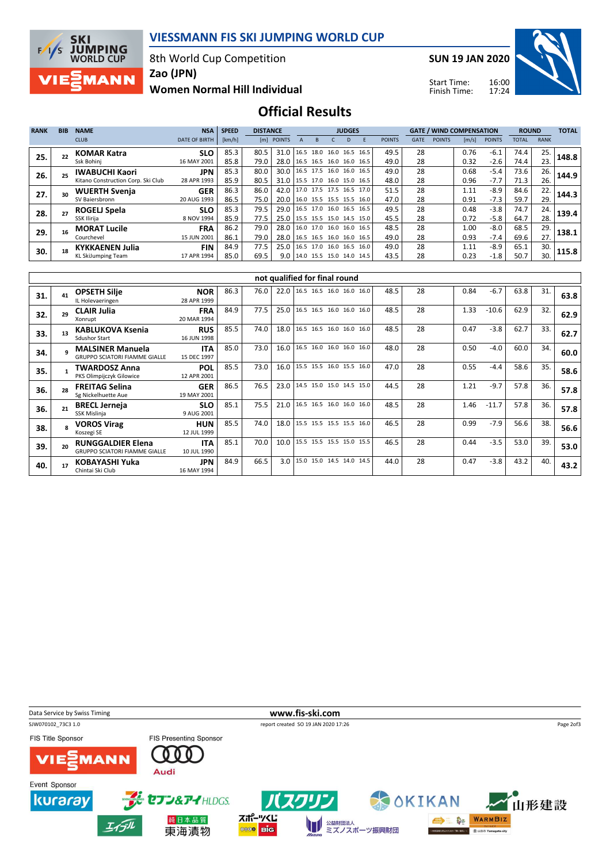

8th World Cup Competition



Zao (JPN)

Women Normal Hill Individual

SUN 19 JAN 2020



16:00 17:24 Start Time: Finish Time:

## Official Results

| <b>RANK</b> | <b>BIB</b> | <b>NAME</b>                        | <b>NSA</b>           | <b>SPEED</b> | <b>DISTANCE</b> |                                 |  |  | <b>JUDGES</b> |    |                                |               |             | <b>GATE / WIND COMPENSATION</b> |       |               |       | <b>ROUND</b> |       |
|-------------|------------|------------------------------------|----------------------|--------------|-----------------|---------------------------------|--|--|---------------|----|--------------------------------|---------------|-------------|---------------------------------|-------|---------------|-------|--------------|-------|
|             |            | <b>CLUB</b>                        | <b>DATE OF BIRTH</b> | [km/h]       | [m]             | <b>POINTS</b>                   |  |  |               | D. |                                | <b>POINTS</b> | <b>GATE</b> | <b>POINTS</b>                   | [m/s] | <b>POINTS</b> | TOTAL | <b>RANK</b>  |       |
| 25.         |            | <b>KOMAR Katra</b>                 | <b>SLO</b>           | 85.3         | 80.5            | 31.0   16.5 18.0 16.0 16.5 16.5 |  |  |               |    |                                | 49.5          | 28          |                                 | 0.76  | $-6.1$        | 74.4  | 25.          | 148.8 |
|             |            | Ssk Bohinj                         | 16 MAY 2001          | 85.8         | 79.0            | 28.0   16.5 16.5 16.0 16.0 16.5 |  |  |               |    |                                | 49.0          | 28          |                                 | 0.32  | $-2.6$        | 74.4  | 23.          |       |
| 26.         |            | <b>IWABUCHI Kaori</b>              | <b>JPN</b>           | 85.3         | 80.0            | 30.0   16.5 17.5 16.0 16.0 16.5 |  |  |               |    |                                | 49.0          | 28          |                                 | 0.68  | $-5.4$        | 73.6  | 26.          | 144.9 |
|             |            | Kitano Construction Corp. Ski Club | 28 APR 1993          | 85.9         | 80.5            | 31.0   15.5 17.0 16.0 15.0 16.5 |  |  |               |    |                                | 48.0          | 28          |                                 | 0.96  | -7.7          | 71.3  | 26.          |       |
| 27.         |            | <b>WUERTH Svenja</b>               | <b>GER</b>           | 86.3         | 86.0            | 42.0 17.0 17.5 17.5 16.5 17.0   |  |  |               |    |                                | 51.5          | 28          |                                 | 1.11  | $-8.9$        | 84.6  | 22.          | 144.3 |
|             |            | SV Bajersbronn                     | 20 AUG 1993          | 86.5         | 75.0            | 20.0 16.0 15.5 15.5 15.5 16.0   |  |  |               |    |                                | 47.0          | 28          |                                 | 0.91  | $-7.3$        | 59.7  | 29.          |       |
| 28.         |            | <b>ROGELJ Spela</b>                | <b>SLO</b>           | 85.3         | 79.5            | 29.0   16.5 17.0 16.0 16.5 16.5 |  |  |               |    |                                | 49.5          | 28          |                                 | 0.48  | $-3.8$        | 74.7  | 24.          | 139.4 |
|             |            | SSK Ilirija                        | 8 NOV 1994           | 85.9         | 77.5            | 25.0 15.5 15.5 15.0 14.5 15.0   |  |  |               |    |                                | 45.5          | 28          |                                 | 0.72  | $-5.8$        | 64.7  | 28.          |       |
| 29.         | 16         | <b>MORAT Lucile</b>                | <b>FRA</b>           | 86.2         | 79.0            | 28.0 16.0 17.0 16.0 16.0 16.5   |  |  |               |    |                                | 48.5          | 28          |                                 | 1.00  | $-8.0$        | 68.5  | 29.          | 138.1 |
|             |            | Courchevel                         | 15 JUN 2001          | 86.1         | 79.0            | 28.0   16.5 16.5 16.0 16.0 16.5 |  |  |               |    |                                | 49.0          | 28          |                                 | 0.93  | $-7.4$        | 69.6  | 27.          |       |
| 30.         |            | <b>KYKKAENEN Julia</b>             | <b>FIN</b>           | 84.9         | 77.5            | 25.0   16.5 17.0 16.0 16.5 16.0 |  |  |               |    |                                | 49.0          | 28          |                                 | 1.11  | $-8.9$        | 65.1  | 30.          | 115.8 |
|             |            | KL SkiJumping Team                 | 17 APR 1994          | 85.0         | 69.5            |                                 |  |  |               |    | 9.0   14.0 15.5 15.0 14.0 14.5 | 43.5          | 28          |                                 | 0.23  | $-1.8$        | 50.7  | 30.          |       |

|     | not qualified for final round |                                                                  |                           |      |      |      |                          |  |  |      |    |      |         |      |     |      |
|-----|-------------------------------|------------------------------------------------------------------|---------------------------|------|------|------|--------------------------|--|--|------|----|------|---------|------|-----|------|
| 31. |                               | <b>OPSETH Silje</b><br>IL Holevaeringen                          | <b>NOR</b><br>28 APR 1999 | 86.3 | 76.0 | 22.0 | 16.5 16.5 16.0 16.0 16.0 |  |  | 48.5 | 28 | 0.84 | $-6.7$  | 63.8 | 31. | 63.8 |
| 32. | 29                            | <b>CLAIR Julia</b><br>Xonrupt                                    | <b>FRA</b><br>20 MAR 1994 | 84.9 | 77.5 | 25.0 | 16.5 16.5 16.0 16.0 16.0 |  |  | 48.5 | 28 | 1.33 | $-10.6$ | 62.9 | 32. | 62.9 |
| 33. |                               | <b>KABLUKOVA Ksenia</b><br><b>Sdushor Start</b>                  | <b>RUS</b><br>16 JUN 1998 | 85.5 | 74.0 | 18.0 | 16.5 16.5 16.0 16.0 16.0 |  |  | 48.5 | 28 | 0.47 | $-3.8$  | 62.7 | 33. | 62.7 |
| 34. |                               | <b>MALSINER Manuela</b><br><b>GRUPPO SCIATORI FIAMME GIALLE</b>  | <b>ITA</b><br>15 DEC 1997 | 85.0 | 73.0 | 16.0 | 16.5 16.0 16.0 16.0 16.0 |  |  | 48.0 | 28 | 0.50 | $-4.0$  | 60.0 | 34. | 60.0 |
| 35. |                               | <b>TWARDOSZ Anna</b><br>PKS Olimpijczyk Gilowice                 | <b>POL</b><br>12 APR 2001 | 85.5 | 73.0 | 16.0 | 15.5 15.5 16.0 15.5 16.0 |  |  | 47.0 | 28 | 0.55 | $-4.4$  | 58.6 | 35. | 58.6 |
| 36. | 28                            | <b>FREITAG Selina</b><br>Sg Nickelhuette Aue                     | <b>GER</b><br>19 MAY 2001 | 86.5 | 76.5 | 23.0 | 14.5 15.0 15.0 14.5 15.0 |  |  | 44.5 | 28 | 1.21 | $-9.7$  | 57.8 | 36. | 57.8 |
| 36. |                               | <b>BRECL Jerneja</b><br>SSK Mislinja                             | <b>SLO</b><br>9 AUG 2001  | 85.1 | 75.5 | 21.0 | 16.5 16.5 16.0 16.0 16.0 |  |  | 48.5 | 28 | 1.46 | $-11.7$ | 57.8 | 36. | 57.8 |
| 38. |                               | <b>VOROS Virag</b><br>Koszegi SE                                 | <b>HUN</b><br>12 JUL 1999 | 85.5 | 74.0 | 18.0 | 15.5 15.5 15.5 15.5 16.0 |  |  | 46.5 | 28 | 0.99 | $-7.9$  | 56.6 | 38. | 56.6 |
| 39. |                               | <b>RUNGGALDIER Elena</b><br><b>GRUPPO SCIATORI FIAMME GIALLE</b> | <b>ITA</b><br>10 JUL 1990 | 85.1 | 70.0 | 10.0 | 15.5 15.5 15.5 15.0 15.5 |  |  | 46.5 | 28 | 0.44 | $-3.5$  | 53.0 | 39. | 53.0 |
| 40. |                               | KOBAYASHI Yuka<br>Chintai Ski Club                               | <b>JPN</b><br>16 MAY 1994 | 84.9 | 66.5 | 3.0  | 15.0 15.0 14.5 14.0 14.5 |  |  | 44.0 | 28 | 0.47 | $-3.8$  | 43.2 | 40. | 43.2 |